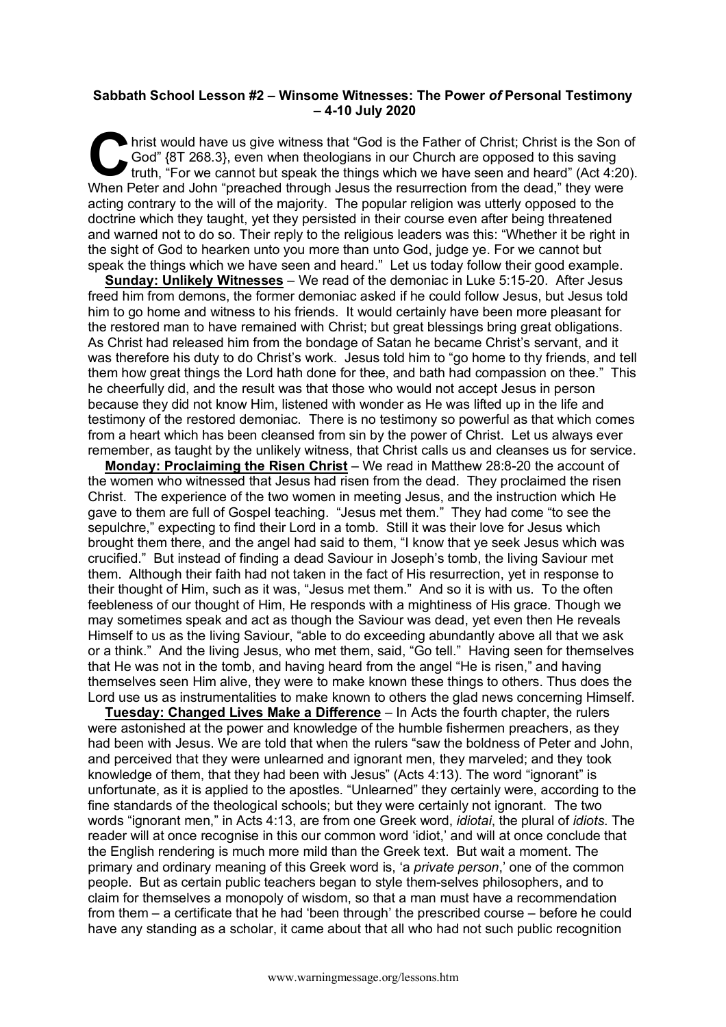## **Sabbath School Lesson #2 – Winsome Witnesses: The Power** *of* **Personal Testimony – 4-10 July 2020**

hrist would have us give witness that "God is the Father of Christ; Christ is the Son of God" {8T 268.3}, even when theologians in our Church are opposed to this saving truth, "For we cannot but speak the things which we h God" {8T 268.3}, even when theologians in our Church are opposed to this saving truth, "For we cannot but speak the things which we have seen and heard" (Act 4:20). When Peter and John "preached through Jesus the resurrection from the dead," they were acting contrary to the will of the majority. The popular religion was utterly opposed to the doctrine which they taught, yet they persisted in their course even after being threatened and warned not to do so. Their reply to the religious leaders was this: "Whether it be right in the sight of God to hearken unto you more than unto God, judge ye. For we cannot but speak the things which we have seen and heard." Let us today follow their good example.

**Sunday: Unlikely Witnesses** – We read of the demoniac in Luke 5:15-20. After Jesus freed him from demons, the former demoniac asked if he could follow Jesus, but Jesus told him to go home and witness to his friends. It would certainly have been more pleasant for the restored man to have remained with Christ; but great blessings bring great obligations. As Christ had released him from the bondage of Satan he became Christ's servant, and it was therefore his duty to do Christ's work. Jesus told him to "go home to thy friends, and tell them how great things the Lord hath done for thee, and bath had compassion on thee." This he cheerfully did, and the result was that those who would not accept Jesus in person because they did not know Him, listened with wonder as He was lifted up in the life and testimony of the restored demoniac. There is no testimony so powerful as that which comes from a heart which has been cleansed from sin by the power of Christ. Let us always ever remember, as taught by the unlikely witness, that Christ calls us and cleanses us for service.

**Monday: Proclaiming the Risen Christ** – We read in Matthew 28:8-20 the account of the women who witnessed that Jesus had risen from the dead. They proclaimed the risen Christ. The experience of the two women in meeting Jesus, and the instruction which He gave to them are full of Gospel teaching. "Jesus met them." They had come "to see the sepulchre," expecting to find their Lord in a tomb. Still it was their love for Jesus which brought them there, and the angel had said to them, "I know that ye seek Jesus which was crucified." But instead of finding a dead Saviour in Joseph's tomb, the living Saviour met them. Although their faith had not taken in the fact of His resurrection, yet in response to their thought of Him, such as it was, "Jesus met them." And so it is with us. To the often feebleness of our thought of Him, He responds with a mightiness of His grace. Though we may sometimes speak and act as though the Saviour was dead, yet even then He reveals Himself to us as the living Saviour, "able to do exceeding abundantly above all that we ask or a think." And the living Jesus, who met them, said, "Go tell." Having seen for themselves that He was not in the tomb, and having heard from the angel "He is risen," and having themselves seen Him alive, they were to make known these things to others. Thus does the Lord use us as instrumentalities to make known to others the glad news concerning Himself.

**Tuesday: Changed Lives Make a Difference** – In Acts the fourth chapter, the rulers were astonished at the power and knowledge of the humble fishermen preachers, as they had been with Jesus. We are told that when the rulers "saw the boldness of Peter and John, and perceived that they were unlearned and ignorant men, they marveled; and they took knowledge of them, that they had been with Jesus" (Acts 4:13). The word "ignorant" is unfortunate, as it is applied to the apostles. "Unlearned" they certainly were, according to the fine standards of the theological schools; but they were certainly not ignorant. The two words "ignorant men," in Acts 4:13, are from one Greek word, *idiotai*, the plural of *idiots*. The reader will at once recognise in this our common word 'idiot,' and will at once conclude that the English rendering is much more mild than the Greek text. But wait a moment. The primary and ordinary meaning of this Greek word is, 'a *private person*,' one of the common people. But as certain public teachers began to style them-selves philosophers, and to claim for themselves a monopoly of wisdom, so that a man must have a recommendation from them – a certificate that he had 'been through' the prescribed course – before he could have any standing as a scholar, it came about that all who had not such public recognition